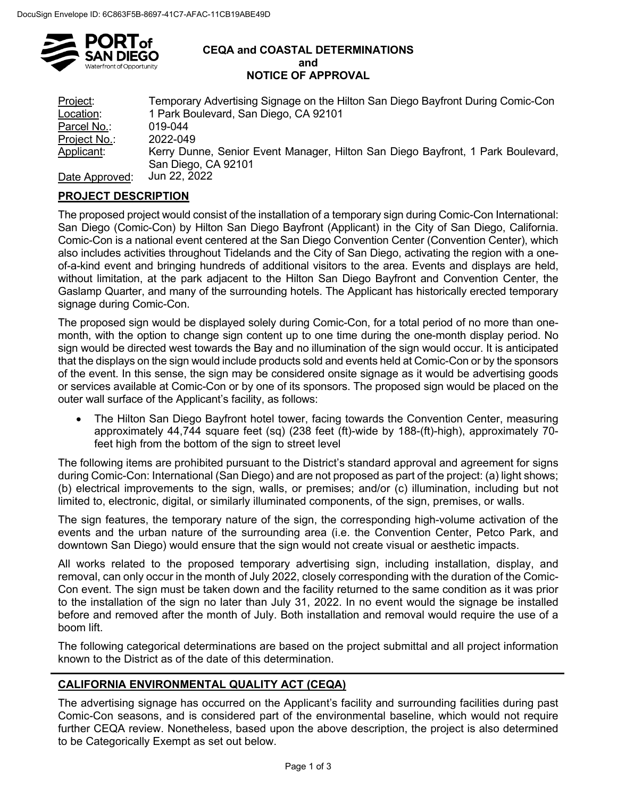

#### **CEQA and COASTAL DETERMINATIONS and NOTICE OF APPROVAL**

| Project:       | Temporary Advertising Signage on the Hilton San Diego Bayfront During Comic-Con |
|----------------|---------------------------------------------------------------------------------|
| Location:      | 1 Park Boulevard, San Diego, CA 92101                                           |
| Parcel No.:    | 019-044                                                                         |
| Project No.:   | 2022-049                                                                        |
| Applicant:     | Kerry Dunne, Senior Event Manager, Hilton San Diego Bayfront, 1 Park Boulevard, |
|                | San Diego, CA 92101                                                             |
| Date Approved: | Jun 22, 2022                                                                    |

# **PROJECT DESCRIPTION**

The proposed project would consist of the installation of a temporary sign during Comic-Con International: San Diego (Comic-Con) by Hilton San Diego Bayfront (Applicant) in the City of San Diego, California. Comic-Con is a national event centered at the San Diego Convention Center (Convention Center), which also includes activities throughout Tidelands and the City of San Diego, activating the region with a oneof-a-kind event and bringing hundreds of additional visitors to the area. Events and displays are held, without limitation, at the park adjacent to the Hilton San Diego Bayfront and Convention Center, the Gaslamp Quarter, and many of the surrounding hotels. The Applicant has historically erected temporary signage during Comic-Con.

The proposed sign would be displayed solely during Comic-Con, for a total period of no more than onemonth, with the option to change sign content up to one time during the one-month display period. No sign would be directed west towards the Bay and no illumination of the sign would occur. It is anticipated that the displays on the sign would include products sold and events held at Comic-Con or by the sponsors of the event. In this sense, the sign may be considered onsite signage as it would be advertising goods or services available at Comic-Con or by one of its sponsors. The proposed sign would be placed on the outer wall surface of the Applicant's facility, as follows:

• The Hilton San Diego Bayfront hotel tower, facing towards the Convention Center, measuring approximately 44,744 square feet (sq) (238 feet (ft)-wide by 188-(ft)-high), approximately 70 feet high from the bottom of the sign to street level

The following items are prohibited pursuant to the District's standard approval and agreement for signs during Comic-Con: International (San Diego) and are not proposed as part of the project: (a) light shows; (b) electrical improvements to the sign, walls, or premises; and/or (c) illumination, including but not limited to, electronic, digital, or similarly illuminated components, of the sign, premises, or walls.

The sign features, the temporary nature of the sign, the corresponding high-volume activation of the events and the urban nature of the surrounding area (i.e. the Convention Center, Petco Park, and downtown San Diego) would ensure that the sign would not create visual or aesthetic impacts.

All works related to the proposed temporary advertising sign, including installation, display, and removal, can only occur in the month of July 2022, closely corresponding with the duration of the Comic-Con event. The sign must be taken down and the facility returned to the same condition as it was prior to the installation of the sign no later than July 31, 2022. In no event would the signage be installed before and removed after the month of July. Both installation and removal would require the use of a boom lift.

The following categorical determinations are based on the project submittal and all project information known to the District as of the date of this determination.

## **CALIFORNIA ENVIRONMENTAL QUALITY ACT (CEQA)**

The advertising signage has occurred on the Applicant's facility and surrounding facilities during past Comic-Con seasons, and is considered part of the environmental baseline, which would not require further CEQA review. Nonetheless, based upon the above description, the project is also determined to be Categorically Exempt as set out below.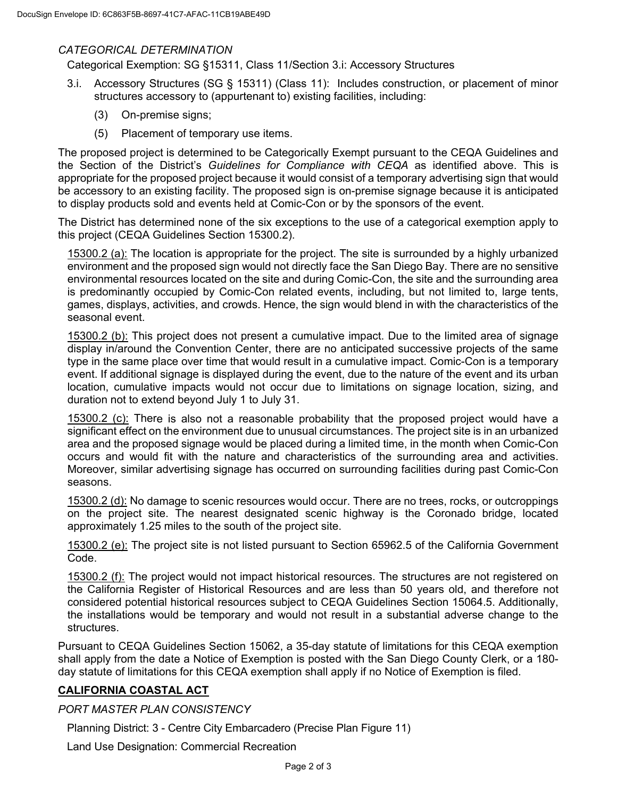### *CATEGORICAL DETERMINATION*

Categorical Exemption: SG §15311, Class 11/Section 3.i: Accessory Structures

- 3.i. Accessory Structures (SG § 15311) (Class 11): Includes construction, or placement of minor structures accessory to (appurtenant to) existing facilities, including:
	- (3) On-premise signs;
	- (5) Placement of temporary use items.

The proposed project is determined to be Categorically Exempt pursuant to the CEQA Guidelines and the Section of the District's *Guidelines for Compliance with CEQA* as identified above. This is appropriate for the proposed project because it would consist of a temporary advertising sign that would be accessory to an existing facility. The proposed sign is on-premise signage because it is anticipated to display products sold and events held at Comic-Con or by the sponsors of the event.

The District has determined none of the six exceptions to the use of a categorical exemption apply to this project (CEQA Guidelines Section 15300.2).

15300.2 (a): The location is appropriate for the project. The site is surrounded by a highly urbanized environment and the proposed sign would not directly face the San Diego Bay. There are no sensitive environmental resources located on the site and during Comic-Con, the site and the surrounding area is predominantly occupied by Comic-Con related events, including, but not limited to, large tents, games, displays, activities, and crowds. Hence, the sign would blend in with the characteristics of the seasonal event.

15300.2 (b): This project does not present a cumulative impact. Due to the limited area of signage display in/around the Convention Center, there are no anticipated successive projects of the same type in the same place over time that would result in a cumulative impact. Comic-Con is a temporary event. If additional signage is displayed during the event, due to the nature of the event and its urban location, cumulative impacts would not occur due to limitations on signage location, sizing, and duration not to extend beyond July 1 to July 31.

15300.2 (c): There is also not a reasonable probability that the proposed project would have a significant effect on the environment due to unusual circumstances. The project site is in an urbanized area and the proposed signage would be placed during a limited time, in the month when Comic-Con occurs and would fit with the nature and characteristics of the surrounding area and activities. Moreover, similar advertising signage has occurred on surrounding facilities during past Comic-Con seasons.

15300.2 (d): No damage to scenic resources would occur. There are no trees, rocks, or outcroppings on the project site. The nearest designated scenic highway is the Coronado bridge, located approximately 1.25 miles to the south of the project site.

15300.2 (e): The project site is not listed pursuant to Section 65962.5 of the California Government Code.

15300.2 (f): The project would not impact historical resources. The structures are not registered on the California Register of Historical Resources and are less than 50 years old, and therefore not considered potential historical resources subject to CEQA Guidelines Section 15064.5. Additionally, the installations would be temporary and would not result in a substantial adverse change to the structures.

Pursuant to CEQA Guidelines Section 15062, a 35-day statute of limitations for this CEQA exemption shall apply from the date a Notice of Exemption is posted with the San Diego County Clerk, or a 180 day statute of limitations for this CEQA exemption shall apply if no Notice of Exemption is filed.

### **CALIFORNIA COASTAL ACT**

### *PORT MASTER PLAN CONSISTENCY*

Planning District: 3 - Centre City Embarcadero (Precise Plan Figure 11)

Land Use Designation: Commercial Recreation